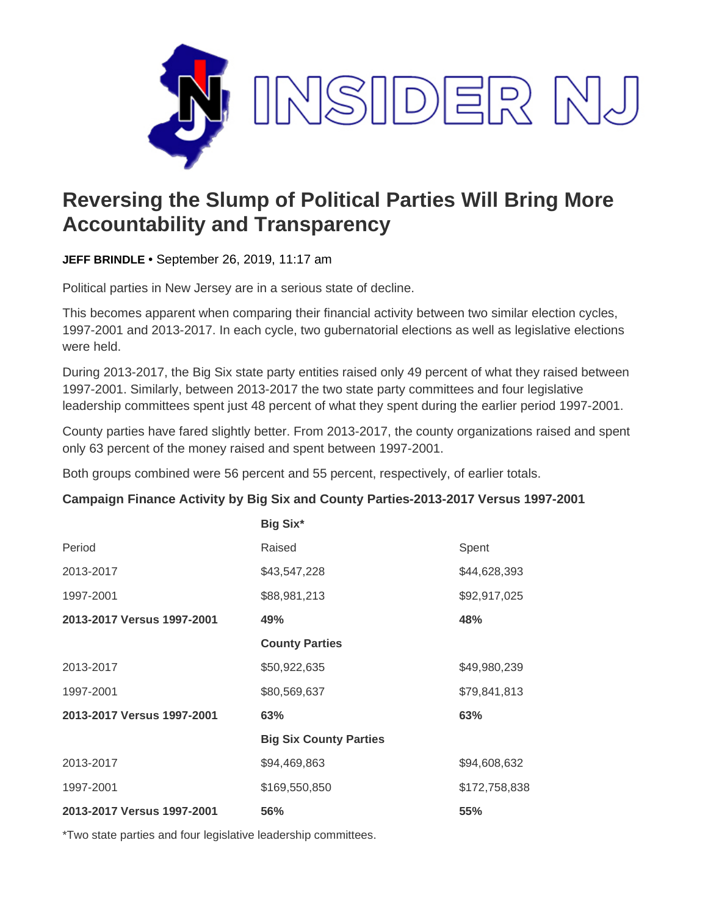

## **Reversing the Slump of Political Parties Will Bring More Accountability and Transparency**

**JEFF BRINDLE** • September 26, 2019, 11:17 am

Political parties in New Jersey are in a serious state of decline.

This becomes apparent when comparing their financial activity between two similar election cycles, 1997-2001 and 2013-2017. In each cycle, two gubernatorial elections as well as legislative elections were held.

During 2013-2017, the Big Six state party entities raised only 49 percent of what they raised between 1997-2001. Similarly, between 2013-2017 the two state party committees and four legislative leadership committees spent just 48 percent of what they spent during the earlier period 1997-2001.

County parties have fared slightly better. From 2013-2017, the county organizations raised and spent only 63 percent of the money raised and spent between 1997-2001.

Both groups combined were 56 percent and 55 percent, respectively, of earlier totals.

## **Campaign Finance Activity by Big Six and County Parties-2013-2017 Versus 1997-2001**

|                            | <b>Big Six*</b>               |               |
|----------------------------|-------------------------------|---------------|
| Period                     | Raised                        | Spent         |
| 2013-2017                  | \$43,547,228                  | \$44,628,393  |
| 1997-2001                  | \$88,981,213                  | \$92,917,025  |
| 2013-2017 Versus 1997-2001 | 49%                           | 48%           |
|                            | <b>County Parties</b>         |               |
| 2013-2017                  | \$50,922,635                  | \$49,980,239  |
| 1997-2001                  | \$80,569,637                  | \$79,841,813  |
| 2013-2017 Versus 1997-2001 | 63%                           | 63%           |
|                            | <b>Big Six County Parties</b> |               |
| 2013-2017                  | \$94,469,863                  | \$94,608,632  |
| 1997-2001                  | \$169,550,850                 | \$172,758,838 |
| 2013-2017 Versus 1997-2001 | 56%                           | 55%           |

\*Two state parties and four legislative leadership committees.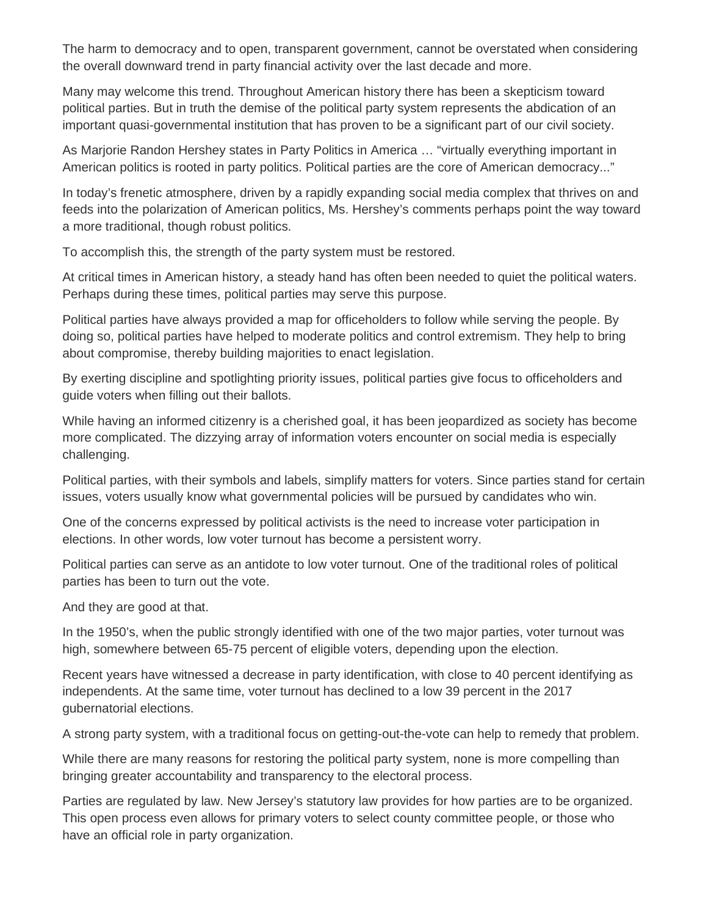The harm to democracy and to open, transparent government, cannot be overstated when considering the overall downward trend in party financial activity over the last decade and more.

Many may welcome this trend. Throughout American history there has been a skepticism toward political parties. But in truth the demise of the political party system represents the abdication of an important quasi-governmental institution that has proven to be a significant part of our civil society.

As Marjorie Randon Hershey states in Party Politics in America … "virtually everything important in American politics is rooted in party politics. Political parties are the core of American democracy..."

In today's frenetic atmosphere, driven by a rapidly expanding social media complex that thrives on and feeds into the polarization of American politics, Ms. Hershey's comments perhaps point the way toward a more traditional, though robust politics.

To accomplish this, the strength of the party system must be restored.

At critical times in American history, a steady hand has often been needed to quiet the political waters. Perhaps during these times, political parties may serve this purpose.

Political parties have always provided a map for officeholders to follow while serving the people. By doing so, political parties have helped to moderate politics and control extremism. They help to bring about compromise, thereby building majorities to enact legislation.

By exerting discipline and spotlighting priority issues, political parties give focus to officeholders and guide voters when filling out their ballots.

While having an informed citizenry is a cherished goal, it has been jeopardized as society has become more complicated. The dizzying array of information voters encounter on social media is especially challenging.

Political parties, with their symbols and labels, simplify matters for voters. Since parties stand for certain issues, voters usually know what governmental policies will be pursued by candidates who win.

One of the concerns expressed by political activists is the need to increase voter participation in elections. In other words, low voter turnout has become a persistent worry.

Political parties can serve as an antidote to low voter turnout. One of the traditional roles of political parties has been to turn out the vote.

And they are good at that.

In the 1950's, when the public strongly identified with one of the two major parties, voter turnout was high, somewhere between 65-75 percent of eligible voters, depending upon the election.

Recent years have witnessed a decrease in party identification, with close to 40 percent identifying as independents. At the same time, voter turnout has declined to a low 39 percent in the 2017 gubernatorial elections.

A strong party system, with a traditional focus on getting-out-the-vote can help to remedy that problem.

While there are many reasons for restoring the political party system, none is more compelling than bringing greater accountability and transparency to the electoral process.

Parties are regulated by law. New Jersey's statutory law provides for how parties are to be organized. This open process even allows for primary voters to select county committee people, or those who have an official role in party organization.